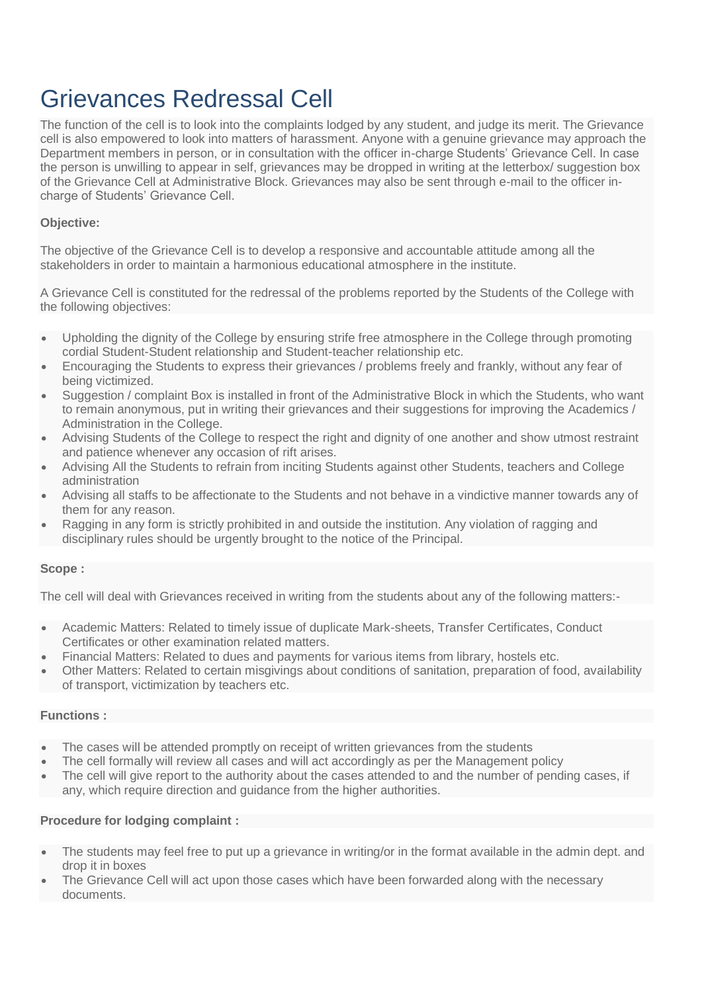# Grievances Redressal Cell

The function of the cell is to look into the complaints lodged by any student, and judge its merit. The Grievance cell is also empowered to look into matters of harassment. Anyone with a genuine grievance may approach the Department members in person, or in consultation with the officer in-charge Students' Grievance Cell. In case the person is unwilling to appear in self, grievances may be dropped in writing at the letterbox/ suggestion box of the Grievance Cell at Administrative Block. Grievances may also be sent through e-mail to the officer incharge of Students' Grievance Cell.

#### **Objective:**

The objective of the Grievance Cell is to develop a responsive and accountable attitude among all the stakeholders in order to maintain a harmonious educational atmosphere in the institute.

A Grievance Cell is constituted for the redressal of the problems reported by the Students of the College with the following objectives:

- Upholding the dignity of the College by ensuring strife free atmosphere in the College through promoting cordial Student-Student relationship and Student-teacher relationship etc.
- Encouraging the Students to express their grievances / problems freely and frankly, without any fear of being victimized.
- Suggestion / complaint Box is installed in front of the Administrative Block in which the Students, who want to remain anonymous, put in writing their grievances and their suggestions for improving the Academics / Administration in the College.
- Advising Students of the College to respect the right and dignity of one another and show utmost restraint and patience whenever any occasion of rift arises.
- Advising All the Students to refrain from inciting Students against other Students, teachers and College administration
- Advising all staffs to be affectionate to the Students and not behave in a vindictive manner towards any of them for any reason.
- Ragging in any form is strictly prohibited in and outside the institution. Any violation of ragging and disciplinary rules should be urgently brought to the notice of the Principal.

#### **Scope :**

The cell will deal with Grievances received in writing from the students about any of the following matters:-

- Academic Matters: Related to timely issue of duplicate Mark-sheets, Transfer Certificates, Conduct Certificates or other examination related matters.
- Financial Matters: Related to dues and payments for various items from library, hostels etc.
- Other Matters: Related to certain misgivings about conditions of sanitation, preparation of food, availability of transport, victimization by teachers etc.

#### **Functions :**

- The cases will be attended promptly on receipt of written grievances from the students
- The cell formally will review all cases and will act accordingly as per the Management policy
- The cell will give report to the authority about the cases attended to and the number of pending cases, if any, which require direction and guidance from the higher authorities.

#### **Procedure for lodging complaint :**

- The students may feel free to put up a grievance in writing/or in the format available in the admin dept. and drop it in boxes
- The Grievance Cell will act upon those cases which have been forwarded along with the necessary documents.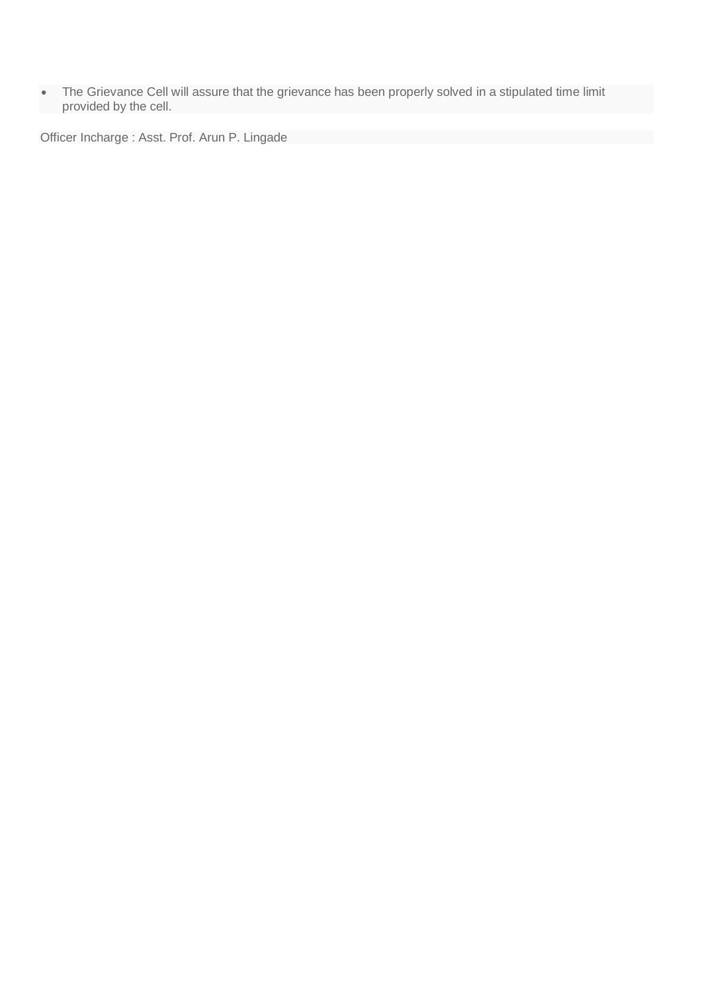The Grievance Cell will assure that the grievance has been properly solved in a stipulated time limit provided by the cell.

Officer Incharge : Asst. Prof. Arun P. Lingade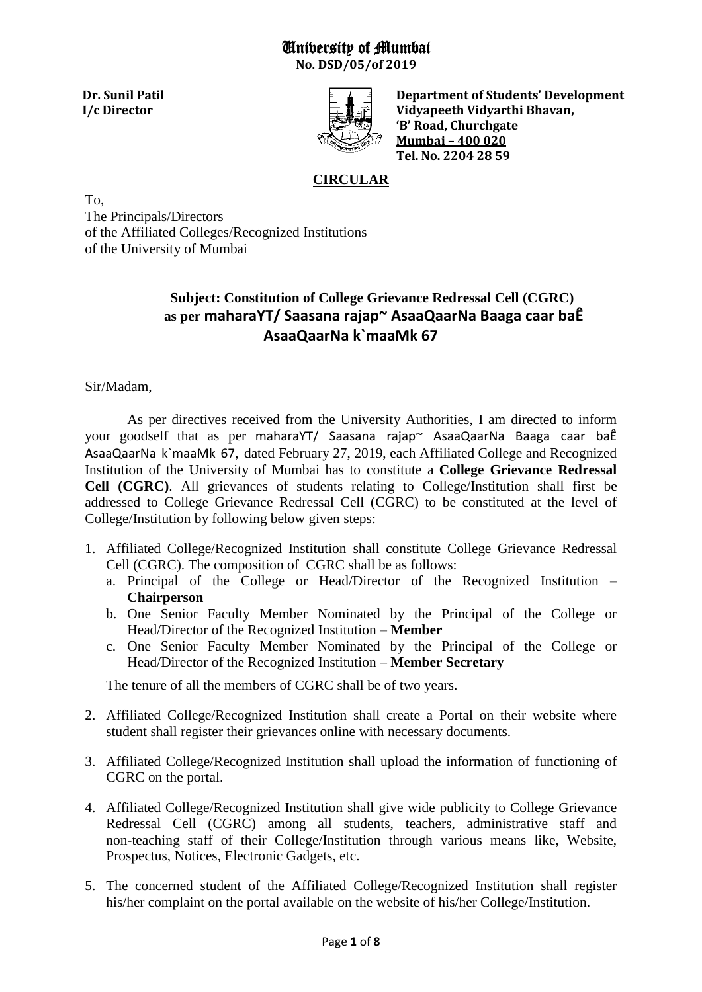# University of Mumbai

**No. DSD/05/of 2019**



 **Dr. Sunil Patil Department of Students' Development I/c Director II. II. II. II. II. II. II. II. II. II. II. II. II. II. II. II. II. II. II. II. II. II. II. II. II. II. II. II. II. II. II. II. II. II. I 'B' Road, Churchgate Mumbai – 400 020 Tel. No. 2204 28 59** 

# **CIRCULAR**

To, The Principals/Directors of the Affiliated Colleges/Recognized Institutions of the University of Mumbai

# **Subject: Constitution of College Grievance Redressal Cell (CGRC) as per maharaYT/ Saasana rajap~ AsaaQaarNa Baaga caar baÊ AsaaQaarNa k`maaMk 67**

Sir/Madam,

As per directives received from the University Authorities, I am directed to inform your goodself that as per maharaYT/ Saasana rajap~ AsaaQaarNa Baaga caar baÊ AsaaQaarNa k`maaMk 67, dated February 27, 2019, each Affiliated College and Recognized Institution of the University of Mumbai has to constitute a **College Grievance Redressal Cell (CGRC)**. All grievances of students relating to College/Institution shall first be addressed to College Grievance Redressal Cell (CGRC) to be constituted at the level of College/Institution by following below given steps:

- 1. Affiliated College/Recognized Institution shall constitute College Grievance Redressal Cell (CGRC). The composition of CGRC shall be as follows:
	- a. Principal of the College or Head/Director of the Recognized Institution **Chairperson**
	- b. One Senior Faculty Member Nominated by the Principal of the College or Head/Director of the Recognized Institution – **Member**
	- c. One Senior Faculty Member Nominated by the Principal of the College or Head/Director of the Recognized Institution – **Member Secretary**

The tenure of all the members of CGRC shall be of two years.

- 2. Affiliated College/Recognized Institution shall create a Portal on their website where student shall register their grievances online with necessary documents.
- 3. Affiliated College/Recognized Institution shall upload the information of functioning of CGRC on the portal.
- 4. Affiliated College/Recognized Institution shall give wide publicity to College Grievance Redressal Cell (CGRC) among all students, teachers, administrative staff and non-teaching staff of their College/Institution through various means like, Website, Prospectus, Notices, Electronic Gadgets, etc.
- 5. The concerned student of the Affiliated College/Recognized Institution shall register his/her complaint on the portal available on the website of his/her College/Institution.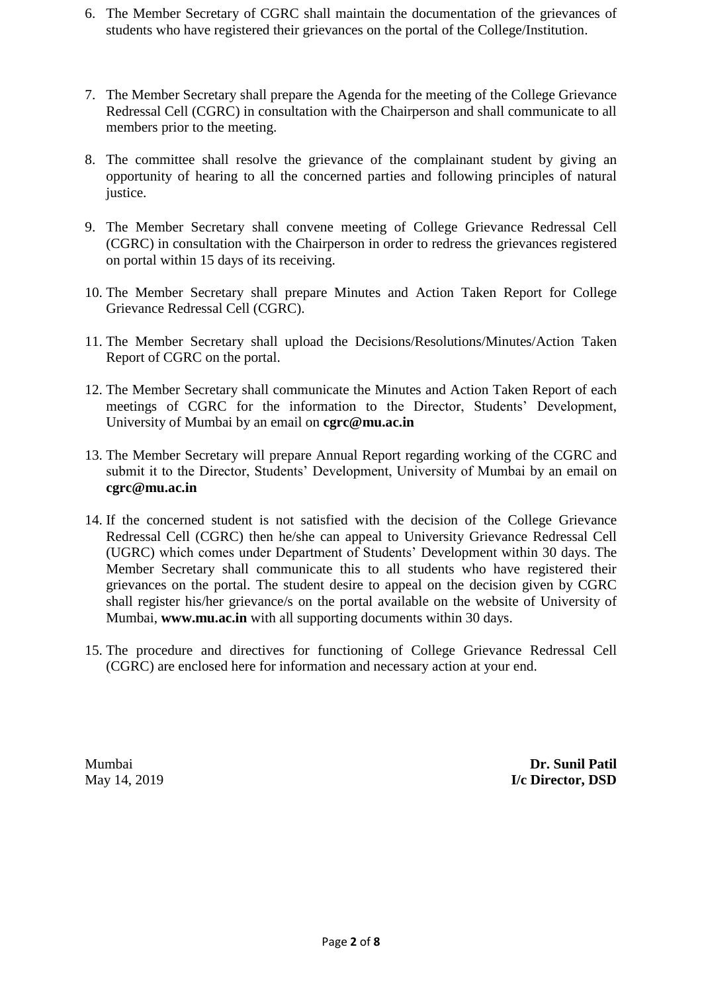- 6. The Member Secretary of CGRC shall maintain the documentation of the grievances of students who have registered their grievances on the portal of the College/Institution.
- 7. The Member Secretary shall prepare the Agenda for the meeting of the College Grievance Redressal Cell (CGRC) in consultation with the Chairperson and shall communicate to all members prior to the meeting.
- 8. The committee shall resolve the grievance of the complainant student by giving an opportunity of hearing to all the concerned parties and following principles of natural justice.
- 9. The Member Secretary shall convene meeting of College Grievance Redressal Cell (CGRC) in consultation with the Chairperson in order to redress the grievances registered on portal within 15 days of its receiving.
- 10. The Member Secretary shall prepare Minutes and Action Taken Report for College Grievance Redressal Cell (CGRC).
- 11. The Member Secretary shall upload the Decisions/Resolutions/Minutes/Action Taken Report of CGRC on the portal.
- 12. The Member Secretary shall communicate the Minutes and Action Taken Report of each meetings of CGRC for the information to the Director, Students' Development, University of Mumbai by an email on **cgrc@mu.ac.in**
- 13. The Member Secretary will prepare Annual Report regarding working of the CGRC and submit it to the Director, Students' Development, University of Mumbai by an email on **cgrc@mu.ac.in**
- 14. If the concerned student is not satisfied with the decision of the College Grievance Redressal Cell (CGRC) then he/she can appeal to University Grievance Redressal Cell (UGRC) which comes under Department of Students' Development within 30 days. The Member Secretary shall communicate this to all students who have registered their grievances on the portal. The student desire to appeal on the decision given by CGRC shall register his/her grievance/s on the portal available on the website of University of Mumbai, **www.mu.ac.in** with all supporting documents within 30 days.
- 15. The procedure and directives for functioning of College Grievance Redressal Cell (CGRC) are enclosed here for information and necessary action at your end.

Mumbai **Dr. Sunil Patil** May 14, 2019 **I/c Director, DSD**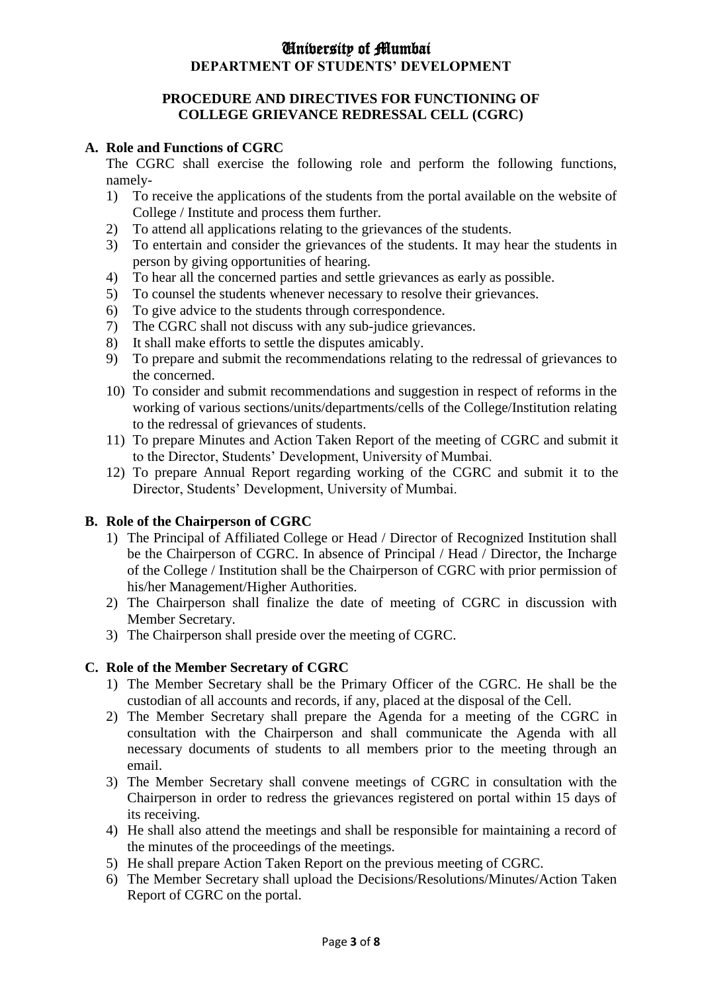# University of Mumbai **DEPARTMENT OF STUDENTS' DEVELOPMENT**

#### **PROCEDURE AND DIRECTIVES FOR FUNCTIONING OF COLLEGE GRIEVANCE REDRESSAL CELL (CGRC)**

#### **A. Role and Functions of CGRC**

The CGRC shall exercise the following role and perform the following functions, namely-

- 1) To receive the applications of the students from the portal available on the website of College / Institute and process them further.
- 2) To attend all applications relating to the grievances of the students.
- 3) To entertain and consider the grievances of the students. It may hear the students in person by giving opportunities of hearing.
- 4) To hear all the concerned parties and settle grievances as early as possible.
- 5) To counsel the students whenever necessary to resolve their grievances.
- 6) To give advice to the students through correspondence.
- 7) The CGRC shall not discuss with any sub-judice grievances.
- 8) It shall make efforts to settle the disputes amicably.
- 9) To prepare and submit the recommendations relating to the redressal of grievances to the concerned.
- 10) To consider and submit recommendations and suggestion in respect of reforms in the working of various sections/units/departments/cells of the College/Institution relating to the redressal of grievances of students.
- 11) To prepare Minutes and Action Taken Report of the meeting of CGRC and submit it to the Director, Students' Development, University of Mumbai.
- 12) To prepare Annual Report regarding working of the CGRC and submit it to the Director, Students' Development, University of Mumbai.

### **B. Role of the Chairperson of CGRC**

- 1) The Principal of Affiliated College or Head / Director of Recognized Institution shall be the Chairperson of CGRC. In absence of Principal / Head / Director, the Incharge of the College / Institution shall be the Chairperson of CGRC with prior permission of his/her Management/Higher Authorities.
- 2) The Chairperson shall finalize the date of meeting of CGRC in discussion with Member Secretary.
- 3) The Chairperson shall preside over the meeting of CGRC.

### **C. Role of the Member Secretary of CGRC**

- 1) The Member Secretary shall be the Primary Officer of the CGRC. He shall be the custodian of all accounts and records, if any, placed at the disposal of the Cell.
- 2) The Member Secretary shall prepare the Agenda for a meeting of the CGRC in consultation with the Chairperson and shall communicate the Agenda with all necessary documents of students to all members prior to the meeting through an email.
- 3) The Member Secretary shall convene meetings of CGRC in consultation with the Chairperson in order to redress the grievances registered on portal within 15 days of its receiving.
- 4) He shall also attend the meetings and shall be responsible for maintaining a record of the minutes of the proceedings of the meetings.
- 5) He shall prepare Action Taken Report on the previous meeting of CGRC.
- 6) The Member Secretary shall upload the Decisions/Resolutions/Minutes/Action Taken Report of CGRC on the portal.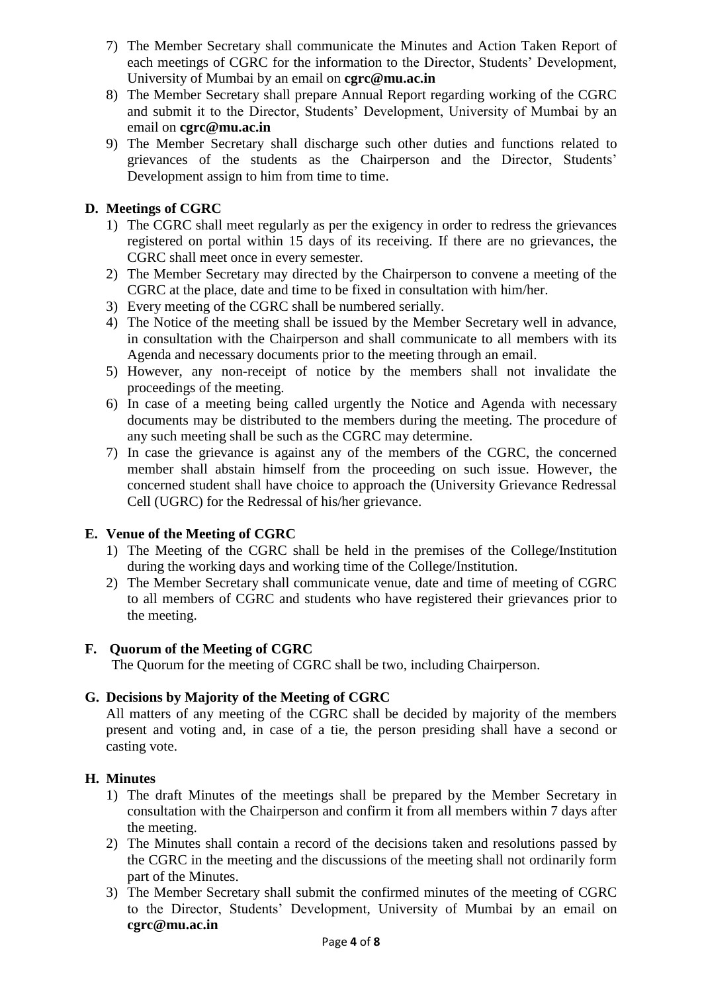- 7) The Member Secretary shall communicate the Minutes and Action Taken Report of each meetings of CGRC for the information to the Director, Students' Development, University of Mumbai by an email on **cgrc@mu.ac.in**
- 8) The Member Secretary shall prepare Annual Report regarding working of the CGRC and submit it to the Director, Students' Development, University of Mumbai by an email on **cgrc@mu.ac.in**
- 9) The Member Secretary shall discharge such other duties and functions related to grievances of the students as the Chairperson and the Director, Students' Development assign to him from time to time.

### **D. Meetings of CGRC**

- 1) The CGRC shall meet regularly as per the exigency in order to redress the grievances registered on portal within 15 days of its receiving. If there are no grievances, the CGRC shall meet once in every semester.
- 2) The Member Secretary may directed by the Chairperson to convene a meeting of the CGRC at the place, date and time to be fixed in consultation with him/her.
- 3) Every meeting of the CGRC shall be numbered serially.
- 4) The Notice of the meeting shall be issued by the Member Secretary well in advance, in consultation with the Chairperson and shall communicate to all members with its Agenda and necessary documents prior to the meeting through an email.
- 5) However, any non-receipt of notice by the members shall not invalidate the proceedings of the meeting.
- 6) In case of a meeting being called urgently the Notice and Agenda with necessary documents may be distributed to the members during the meeting. The procedure of any such meeting shall be such as the CGRC may determine.
- 7) In case the grievance is against any of the members of the CGRC, the concerned member shall abstain himself from the proceeding on such issue. However, the concerned student shall have choice to approach the (University Grievance Redressal Cell (UGRC) for the Redressal of his/her grievance.

### **E. Venue of the Meeting of CGRC**

- 1) The Meeting of the CGRC shall be held in the premises of the College/Institution during the working days and working time of the College/Institution.
- 2) The Member Secretary shall communicate venue, date and time of meeting of CGRC to all members of CGRC and students who have registered their grievances prior to the meeting.

### **F. Quorum of the Meeting of CGRC**

The Quorum for the meeting of CGRC shall be two, including Chairperson.

### **G. Decisions by Majority of the Meeting of CGRC**

All matters of any meeting of the CGRC shall be decided by majority of the members present and voting and, in case of a tie, the person presiding shall have a second or casting vote.

#### **H. Minutes**

- 1) The draft Minutes of the meetings shall be prepared by the Member Secretary in consultation with the Chairperson and confirm it from all members within 7 days after the meeting.
- 2) The Minutes shall contain a record of the decisions taken and resolutions passed by the CGRC in the meeting and the discussions of the meeting shall not ordinarily form part of the Minutes.
- 3) The Member Secretary shall submit the confirmed minutes of the meeting of CGRC to the Director, Students' Development, University of Mumbai by an email on **[cgrc@mu.ac.in](mailto:cgrc@mu.ac.in)**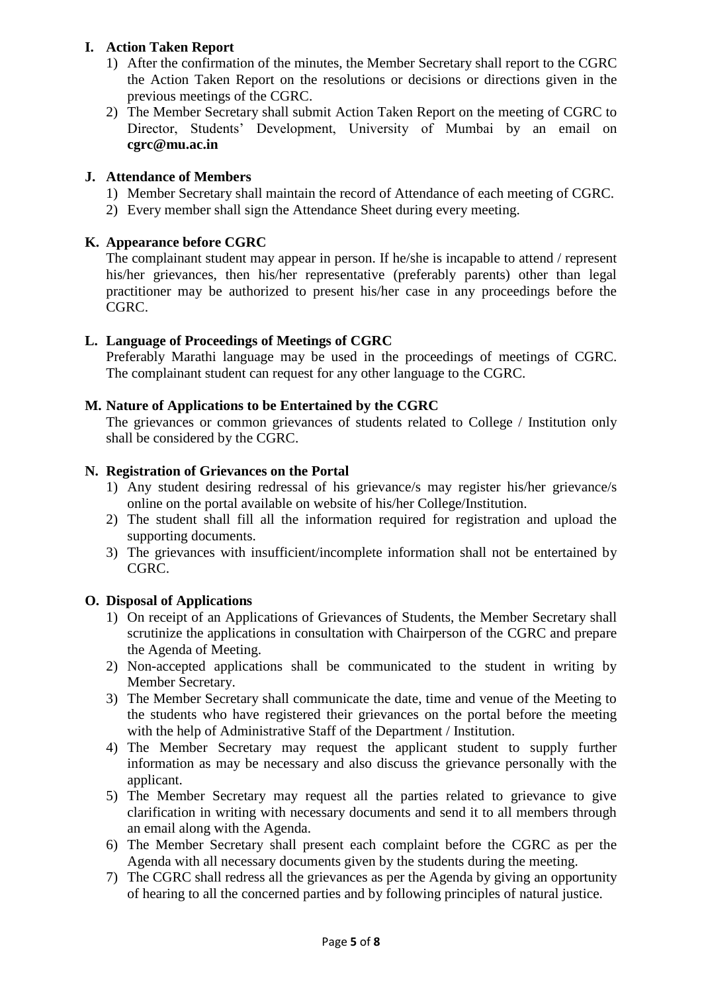## **I. Action Taken Report**

- 1) After the confirmation of the minutes, the Member Secretary shall report to the CGRC the Action Taken Report on the resolutions or decisions or directions given in the previous meetings of the CGRC.
- 2) The Member Secretary shall submit Action Taken Report on the meeting of CGRC to Director, Students' Development, University of Mumbai by an email on **[cgrc@mu.ac.in](mailto:cgrc@mu.ac.in)**

### **J. Attendance of Members**

- 1) Member Secretary shall maintain the record of Attendance of each meeting of CGRC.
- 2) Every member shall sign the Attendance Sheet during every meeting.

# **K. Appearance before CGRC**

The complainant student may appear in person. If he/she is incapable to attend / represent his/her grievances, then his/her representative (preferably parents) other than legal practitioner may be authorized to present his/her case in any proceedings before the CGRC.

# **L. Language of Proceedings of Meetings of CGRC**

Preferably Marathi language may be used in the proceedings of meetings of CGRC. The complainant student can request for any other language to the CGRC.

## **M. Nature of Applications to be Entertained by the CGRC**

The grievances or common grievances of students related to College / Institution only shall be considered by the CGRC.

### **N. Registration of Grievances on the Portal**

- 1) Any student desiring redressal of his grievance/s may register his/her grievance/s online on the portal available on website of his/her College/Institution.
- 2) The student shall fill all the information required for registration and upload the supporting documents.
- 3) The grievances with insufficient/incomplete information shall not be entertained by CGRC.

### **O. Disposal of Applications**

- 1) On receipt of an Applications of Grievances of Students, the Member Secretary shall scrutinize the applications in consultation with Chairperson of the CGRC and prepare the Agenda of Meeting.
- 2) Non-accepted applications shall be communicated to the student in writing by Member Secretary.
- 3) The Member Secretary shall communicate the date, time and venue of the Meeting to the students who have registered their grievances on the portal before the meeting with the help of Administrative Staff of the Department / Institution.
- 4) The Member Secretary may request the applicant student to supply further information as may be necessary and also discuss the grievance personally with the applicant.
- 5) The Member Secretary may request all the parties related to grievance to give clarification in writing with necessary documents and send it to all members through an email along with the Agenda.
- 6) The Member Secretary shall present each complaint before the CGRC as per the Agenda with all necessary documents given by the students during the meeting.
- 7) The CGRC shall redress all the grievances as per the Agenda by giving an opportunity of hearing to all the concerned parties and by following principles of natural justice.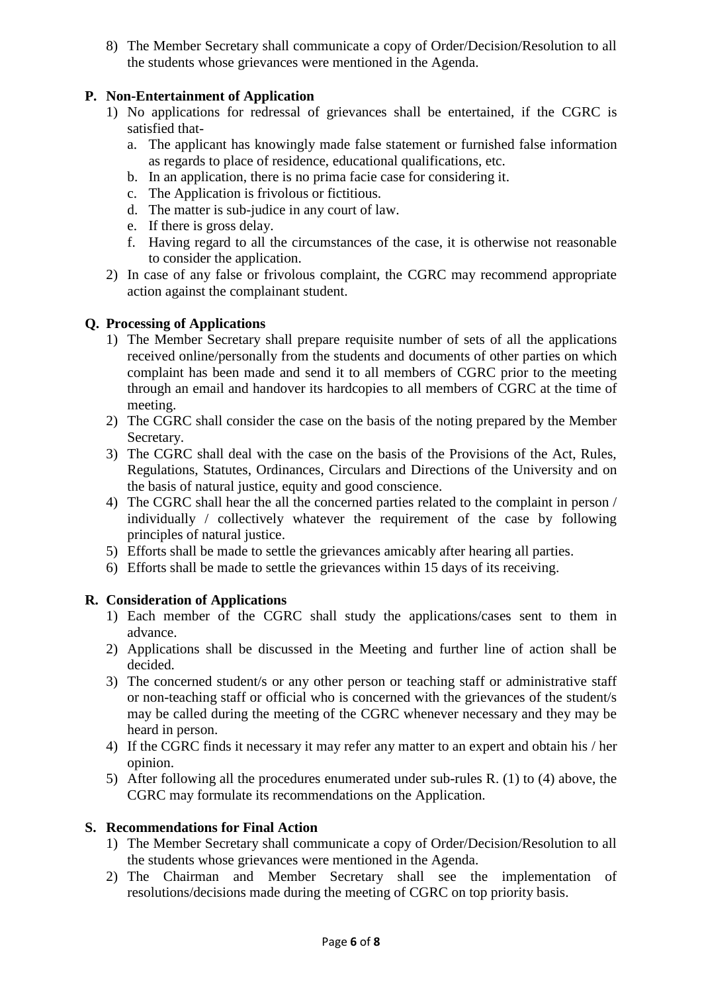8) The Member Secretary shall communicate a copy of Order/Decision/Resolution to all the students whose grievances were mentioned in the Agenda.

# **P. Non-Entertainment of Application**

- 1) No applications for redressal of grievances shall be entertained, if the CGRC is satisfied that
	- a. The applicant has knowingly made false statement or furnished false information as regards to place of residence, educational qualifications, etc.
	- b. In an application, there is no prima facie case for considering it.
	- c. The Application is frivolous or fictitious.
	- d. The matter is sub-judice in any court of law.
	- e. If there is gross delay.
	- f. Having regard to all the circumstances of the case, it is otherwise not reasonable to consider the application.
- 2) In case of any false or frivolous complaint, the CGRC may recommend appropriate action against the complainant student.

### **Q. Processing of Applications**

- 1) The Member Secretary shall prepare requisite number of sets of all the applications received online/personally from the students and documents of other parties on which complaint has been made and send it to all members of CGRC prior to the meeting through an email and handover its hardcopies to all members of CGRC at the time of meeting.
- 2) The CGRC shall consider the case on the basis of the noting prepared by the Member Secretary.
- 3) The CGRC shall deal with the case on the basis of the Provisions of the Act, Rules, Regulations, Statutes, Ordinances, Circulars and Directions of the University and on the basis of natural justice, equity and good conscience.
- 4) The CGRC shall hear the all the concerned parties related to the complaint in person / individually / collectively whatever the requirement of the case by following principles of natural justice.
- 5) Efforts shall be made to settle the grievances amicably after hearing all parties.
- 6) Efforts shall be made to settle the grievances within 15 days of its receiving.

### **R. Consideration of Applications**

- 1) Each member of the CGRC shall study the applications/cases sent to them in advance.
- 2) Applications shall be discussed in the Meeting and further line of action shall be decided.
- 3) The concerned student/s or any other person or teaching staff or administrative staff or non-teaching staff or official who is concerned with the grievances of the student/s may be called during the meeting of the CGRC whenever necessary and they may be heard in person.
- 4) If the CGRC finds it necessary it may refer any matter to an expert and obtain his / her opinion.
- 5) After following all the procedures enumerated under sub-rules R. (1) to (4) above, the CGRC may formulate its recommendations on the Application.

### **S. Recommendations for Final Action**

- 1) The Member Secretary shall communicate a copy of Order/Decision/Resolution to all the students whose grievances were mentioned in the Agenda.
- 2) The Chairman and Member Secretary shall see the implementation of resolutions/decisions made during the meeting of CGRC on top priority basis.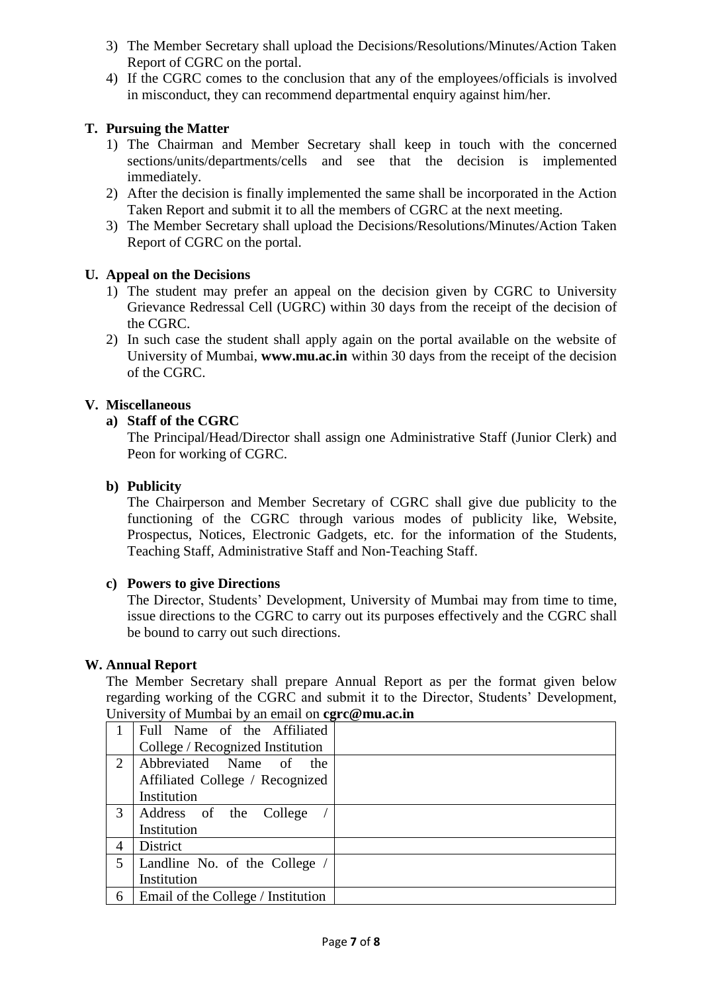- 3) The Member Secretary shall upload the Decisions/Resolutions/Minutes/Action Taken Report of CGRC on the portal.
- 4) If the CGRC comes to the conclusion that any of the employees/officials is involved in misconduct, they can recommend departmental enquiry against him/her.

## **T. Pursuing the Matter**

- 1) The Chairman and Member Secretary shall keep in touch with the concerned sections/units/departments/cells and see that the decision is implemented immediately.
- 2) After the decision is finally implemented the same shall be incorporated in the Action Taken Report and submit it to all the members of CGRC at the next meeting.
- 3) The Member Secretary shall upload the Decisions/Resolutions/Minutes/Action Taken Report of CGRC on the portal.

### **U. Appeal on the Decisions**

- 1) The student may prefer an appeal on the decision given by CGRC to University Grievance Redressal Cell (UGRC) within 30 days from the receipt of the decision of the CGRC.
- 2) In such case the student shall apply again on the portal available on the website of University of Mumbai, **www.mu.ac.in** within 30 days from the receipt of the decision of the CGRC.

### **V. Miscellaneous**

### **a) Staff of the CGRC**

The Principal/Head/Director shall assign one Administrative Staff (Junior Clerk) and Peon for working of CGRC.

### **b) Publicity**

The Chairperson and Member Secretary of CGRC shall give due publicity to the functioning of the CGRC through various modes of publicity like, Website, Prospectus, Notices, Electronic Gadgets, etc. for the information of the Students, Teaching Staff, Administrative Staff and Non-Teaching Staff.

### **c) Powers to give Directions**

The Director, Students' Development, University of Mumbai may from time to time, issue directions to the CGRC to carry out its purposes effectively and the CGRC shall be bound to carry out such directions.

### **W. Annual Report**

The Member Secretary shall prepare Annual Report as per the format given below regarding working of the CGRC and submit it to the Director, Students' Development, University of Mumbai by an email on **cgrc@mu.ac.in**

|   | o<br>Full Name of the Affiliated   |  |
|---|------------------------------------|--|
|   | College / Recognized Institution   |  |
| 2 | Abbreviated Name of the            |  |
|   | Affiliated College / Recognized    |  |
|   | Institution                        |  |
| 3 | Address of the College             |  |
|   | Institution                        |  |
| 4 | District                           |  |
| 5 | Landline No. of the College        |  |
|   | Institution                        |  |
| 6 | Email of the College / Institution |  |